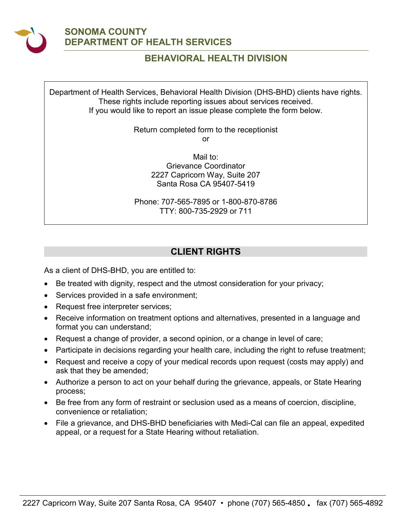

# **SONOMA COUNTY DEPARTMENT OF HEALTH SERVICES**

# **BEHAVIORAL HEALTH DIVISION**

 Department of Health Services, Behavioral Health Division (DHS-BHD) clients have rights. These rights include reporting issues about services received. If you would like to report an issue please complete the form below.

> Return completed form to the receptionist or

> > Mail to: Grievance Coordinator 2227 Capricorn Way, Suite 207 Santa Rosa CA 95407-5419

 TTY: 800-735-2929 or 711 Phone: 707-565-7895 or 1-800-870-8786

# **CLIENT RIGHTS**

As a client of DHS-BHD, you are entitled to:

- Be treated with dignity, respect and the utmost consideration for your privacy;
- Services provided in a safe environment;
- Request free interpreter services;
- Receive information on treatment options and alternatives, presented in a language and format you can understand;
- Request a change of provider, a second opinion, or a change in level of care;
- Participate in decisions regarding your health care, including the right to refuse treatment;
- Request and receive a copy of your medical records upon request (costs may apply) and ask that they be amended;
- Authorize a person to act on your behalf during the grievance, appeals, or State Hearing process;
- Be free from any form of restraint or seclusion used as a means of coercion, discipline, convenience or retaliation;
- appeal, or a request for a State Hearing without retaliation. • File a grievance, and DHS-BHD beneficiaries with Medi-Cal can file an appeal, expedited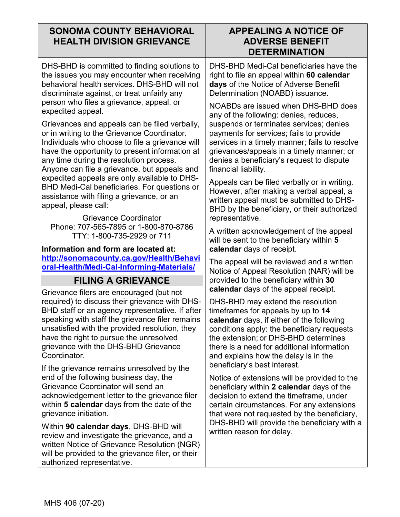# **SONOMA COUNTY BEHAVIORAL HEALTH DIVISION GRIEVANCE**

## **APPEALING A NOTICE OF ADVERSE BENEFIT DETERMINATION**

 DHS-BHD is committed to finding solutions to the issues you may encounter when receiving behavioral health services. DHS-BHD will not discriminate against, or treat unfairly any person who files a grievance, appeal, or expedited appeal.

 Grievances and appeals can be filed verbally, or in writing to the Grievance Coordinator. Individuals who choose to file a grievance will have the opportunity to present information at any time during the resolution process. Anyone can file a grievance, but appeals and expedited appeals are only available to DHS-BHD Medi-Cal beneficiaries. For questions or assistance with filing a grievance, or an appeal, please call:

 TTY: 1-800-735-2929 or 711 Grievance Coordinator Phone: 707-565-7895 or 1-800-870-8786

**Information and form are located at: [http://sonomacounty.ca.gov/Health/Behavi](http://sonomacounty.ca.gov/Health/Behavioral-Health/Medi-Cal-Informing-Materials/) [oral-Health/Medi-Cal-Informing-Materials/](http://sonomacounty.ca.gov/Health/Behavioral-Health/Medi-Cal-Informing-Materials/)** 

# **FILING A GRIEVANCE**

Grievance filers are encouraged (but not required) to discuss their grievance with DHS-BHD staff or an agency representative. If after speaking with staff the grievance filer remains unsatisfied with the provided resolution, they have the right to pursue the unresolved grievance with the DHS-BHD Grievance Coordinator.

If the grievance remains unresolved by the end of the following business day, the Grievance Coordinator will send an acknowledgement letter to the grievance filer within **5 calendar** days from the date of the grievance initiation.

Within **90 calendar days**, DHS-BHD will review and investigate the grievance, and a written Notice of Grievance Resolution (NGR) will be provided to the grievance filer, or their authorized representative.

 DHS-BHD Medi-Cal beneficiaries have the right to file an appeal within **60 calendar days** of the Notice of Adverse Benefit Determination (NOABD) issuance.

 grievances/appeals in a timely manner; or NOABDs are issued when DHS-BHD does any of the following: denies, reduces, suspends or terminates services; denies payments for services; fails to provide services in a timely manner; fails to resolve denies a beneficiary's request to dispute financial liability.

Appeals can be filed verbally or in writing. However, after making a verbal appeal, a written appeal must be submitted to DHS-BHD by the beneficiary, or their authorized representative.

A written acknowledgement of the appeal will be sent to the beneficiary within **5 calendar** days of receipt.

The appeal will be reviewed and a written Notice of Appeal Resolution (NAR) will be provided to the beneficiary within **30 calendar** days of the appeal receipt.

 timeframes for appeals by up to **14**  there is a need for additional information DHS-BHD may extend the resolution **calendar** days, if either of the following conditions apply: the beneficiary requests the extension; or DHS-BHD determines and explains how the delay is in the beneficiary's best interest.

Notice of extensions will be provided to the beneficiary within **2 calendar** days of the decision to extend the timeframe, under certain circumstances. For any extensions that were not requested by the beneficiary, DHS-BHD will provide the beneficiary with a written reason for delay.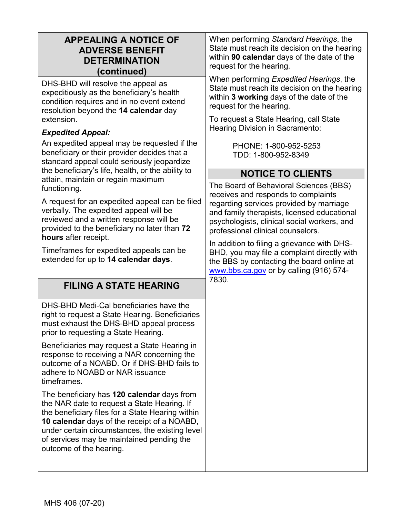| <b>APPEALING A NOTICE OF</b><br><b>ADVERSE BENEFIT</b><br><b>DETERMINATION</b><br>(continued)                                                                                                                                                                                                                           | When performing Standard Hearings, the<br>State must reach its decision on the hearing<br>within 90 calendar days of the date of the<br>request for the hearing.                                                                                            |  |  |
|-------------------------------------------------------------------------------------------------------------------------------------------------------------------------------------------------------------------------------------------------------------------------------------------------------------------------|-------------------------------------------------------------------------------------------------------------------------------------------------------------------------------------------------------------------------------------------------------------|--|--|
| DHS-BHD will resolve the appeal as<br>expeditiously as the beneficiary's health<br>condition requires and in no event extend<br>resolution beyond the 14 calendar day<br>extension.                                                                                                                                     | When performing Expedited Hearings, the<br>State must reach its decision on the hearing<br>within 3 working days of the date of the<br>request for the hearing.<br>To request a State Hearing, call State                                                   |  |  |
| <b>Expedited Appeal:</b>                                                                                                                                                                                                                                                                                                | Hearing Division in Sacramento:                                                                                                                                                                                                                             |  |  |
| An expedited appeal may be requested if the<br>beneficiary or their provider decides that a<br>standard appeal could seriously jeopardize<br>the beneficiary's life, health, or the ability to                                                                                                                          | PHONE: 1-800-952-5253<br>TDD: 1-800-952-8349                                                                                                                                                                                                                |  |  |
|                                                                                                                                                                                                                                                                                                                         | <b>NOTICE TO CLIENTS</b>                                                                                                                                                                                                                                    |  |  |
| attain, maintain or regain maximum<br>functioning.<br>A request for an expedited appeal can be filed<br>verbally. The expedited appeal will be<br>reviewed and a written response will be<br>provided to the beneficiary no later than 72<br>hours after receipt.                                                       | The Board of Behavioral Sciences (BBS)<br>receives and responds to complaints<br>regarding services provided by marriage<br>and family therapists, licensed educational<br>psychologists, clinical social workers, and<br>professional clinical counselors. |  |  |
| Timeframes for expedited appeals can be<br>extended for up to 14 calendar days.                                                                                                                                                                                                                                         | In addition to filing a grievance with DHS-<br>BHD, you may file a complaint directly with<br>the BBS by contacting the board online at<br>www.bbs.ca.gov or by calling (916) 574-                                                                          |  |  |
| <b>FILING A STATE HEARING</b>                                                                                                                                                                                                                                                                                           | 7830.                                                                                                                                                                                                                                                       |  |  |
| DHS-BHD Medi-Cal beneficiaries have the<br>right to request a State Hearing. Beneficiaries<br>must exhaust the DHS-BHD appeal process<br>prior to requesting a State Hearing.                                                                                                                                           |                                                                                                                                                                                                                                                             |  |  |
| Beneficiaries may request a State Hearing in<br>response to receiving a NAR concerning the<br>outcome of a NOABD. Or if DHS-BHD fails to<br>adhere to NOABD or NAR issuance<br>timeframes.                                                                                                                              |                                                                                                                                                                                                                                                             |  |  |
| The beneficiary has 120 calendar days from<br>the NAR date to request a State Hearing. If<br>the beneficiary files for a State Hearing within<br>10 calendar days of the receipt of a NOABD,<br>under certain circumstances, the existing level<br>of services may be maintained pending the<br>outcome of the hearing. |                                                                                                                                                                                                                                                             |  |  |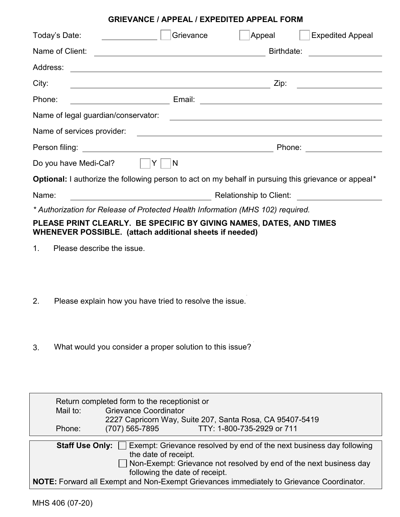#### **GRIEVANCE / APPEAL / EXPEDITED APPEAL FORM**

| Today's Date:                                                                                                                  | <u>and a strong and a strong strong and a strong strong strong and a strong strong strong strong strong strong s</u>      | Grievance               | Appeal     | <b>Expedited Appeal</b>                       |
|--------------------------------------------------------------------------------------------------------------------------------|---------------------------------------------------------------------------------------------------------------------------|-------------------------|------------|-----------------------------------------------|
| Name of Client:                                                                                                                |                                                                                                                           |                         | Birthdate: |                                               |
| Address:                                                                                                                       | <u> 1989 - Johann Stoff, deutscher Stoff, der Stoff, der Stoff, der Stoff, der Stoff, der Stoff, der Stoff, der S</u>     |                         |            |                                               |
| City:                                                                                                                          | <u> 1989 - Johann John Stein, markin fan it ferstjer fan de ferstjer fan it ferstjer fan it ferstjer fan it fers</u>      |                         | Zip:       | <u> 1989 - Johann Stoff, fransk politik (</u> |
| Phone:                                                                                                                         |                                                                                                                           |                         |            |                                               |
| Name of legal guardian/conservator:<br><u> and the contract of legal guardian/conservator:</u>                                 |                                                                                                                           |                         |            |                                               |
|                                                                                                                                |                                                                                                                           |                         |            |                                               |
|                                                                                                                                | Phone: __________________                                                                                                 |                         |            |                                               |
| Do you have Medi-Cal?                                                                                                          |                                                                                                                           | $\overline{\mathsf{N}}$ |            |                                               |
| <b>Optional:</b> I authorize the following person to act on my behalf in pursuing this grievance or appeal*                    |                                                                                                                           |                         |            |                                               |
| Name:                                                                                                                          | <b>Relationship to Client:</b> Network and Client and Client and Client and Client and Client and Client and Client and C |                         |            |                                               |
| * Authorization for Release of Protected Health Information (MHS 102) required.                                                |                                                                                                                           |                         |            |                                               |
| PLEASE PRINT CLEARLY. BE SPECIFIC BY GIVING NAMES, DATES, AND TIMES<br>WHENEVER POSSIBLE. (attach additional sheets if needed) |                                                                                                                           |                         |            |                                               |

- 1. Please describe the issue.
- 2. Please explain how you have tried to resolve the issue.
- 3. What would you consider a proper solution to this issue?

|                                                                                                                     | Return completed form to the receptionist or             |                            |  |  |
|---------------------------------------------------------------------------------------------------------------------|----------------------------------------------------------|----------------------------|--|--|
| Mail to:                                                                                                            | <b>Grievance Coordinator</b>                             |                            |  |  |
|                                                                                                                     | 2227 Capricorn Way, Suite 207, Santa Rosa, CA 95407-5419 |                            |  |  |
| Phone:                                                                                                              | (707) 565-7895                                           | TTY: 1-800-735-2929 or 711 |  |  |
|                                                                                                                     |                                                          |                            |  |  |
| <b>Staff Use Only:</b> Exempt: Grievance resolved by end of the next business day following<br>the date of receipt. |                                                          |                            |  |  |
| $\Box$ Non-Exempt: Grievance not resolved by end of the next business day<br>following the date of receipt.         |                                                          |                            |  |  |
| NOTE: Forward all Exempt and Non-Exempt Grievances immediately to Grievance Coordinator.                            |                                                          |                            |  |  |

'n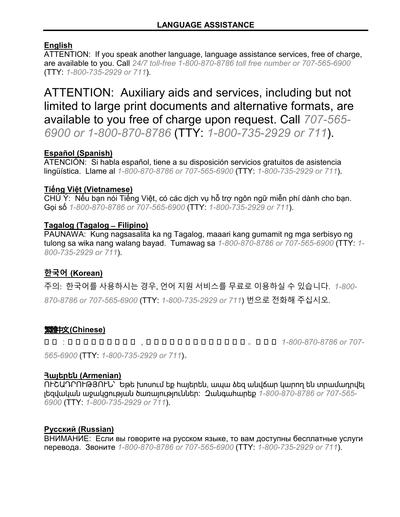## **English**

ATTENTION: If you speak another language, language assistance services, free of charge, are available to you. Call *24/7 toll-free 1-800-870-8786 toll free number or 707-565-6900*  (TTY: *1-800-735-2929 or 711*).

 ATTENTION: Auxiliary aids and services, including but not limited to large print documents and alternative formats, are available to you free of charge upon request. Call *707-565- 6900 or 1-800-870-8786* (TTY: *1-800-735-2929 or 711*).

### **Español (Spanish)**

 ATENCIÓN: Si habla español, tiene a su disposición servicios gratuitos de asistencia lingüística. Llame al *1-800-870-8786 or 707-565-6900* (TTY: *1-800-735-2929 or 711*).

### **Tiếng Việt (Vietnamese)**

 CHÚ Ý: Nếu bạn nói Tiếng Việt, có các dịch vụ hỗ trợ ngôn ngữ miễn phí dành cho bạn. Gọi số *1-800-870-8786 or 707-565-6900* (TTY: *1-800-735-2929 or 711*).

### **Tagalog (Tagalog ̶Filipino)**

 tulong sa wika nang walang bayad. Tumawag sa *1-800-870-8786 or 707-565-6900* (TTY: *1-* PAUNAWA: Kung nagsasalita ka ng Tagalog, maaari kang gumamit ng mga serbisyo ng *800-735-2929 or 711*).

## **한국어 (Korean)**

주의: 한국어를 사용하시는 경우, 언어 지원 서비스를 무료로 이용하실 수 있습니다. *1-800-*

*870-8786 or 707-565-6900* (TTY: *1-800-735-2929 or 711*) 번으로 전화해 주십시오.

## 繁體中文**(Chinese)**

注 注 :注 注 注 注 注 注 注 注 注 ,注 注 注 注 注 注 注 注 注 注 注 注 注 。注 注 注 *1-800-870-8786 or 707-*

*565-6900* (TTY: *1-800-735-2929 or 711*)。

### **Հայերեն (Armenian)**

 ՈՒՇԱԴՐՈՒԹՅՈՒՆ՝ Եթե խոսում եք հայերեն, ապա ձեզ անվճար կարող են տրամադրվել լեզվական աջակցության ծառայություններ: Զանգահարեք *1-800-870-8786 or 707-565- 6900* (TTY: *1-800-735-2929 or 711*).

### **Русский (Russian)**

 перевода. Звоните *1-800-870-8786 or 707-565-6900* (TTY: *1-800-735-2929 or 711*). ВНИМАНИЕ: Если вы говорите на русском языке, то вам доступны бесплатные услуги